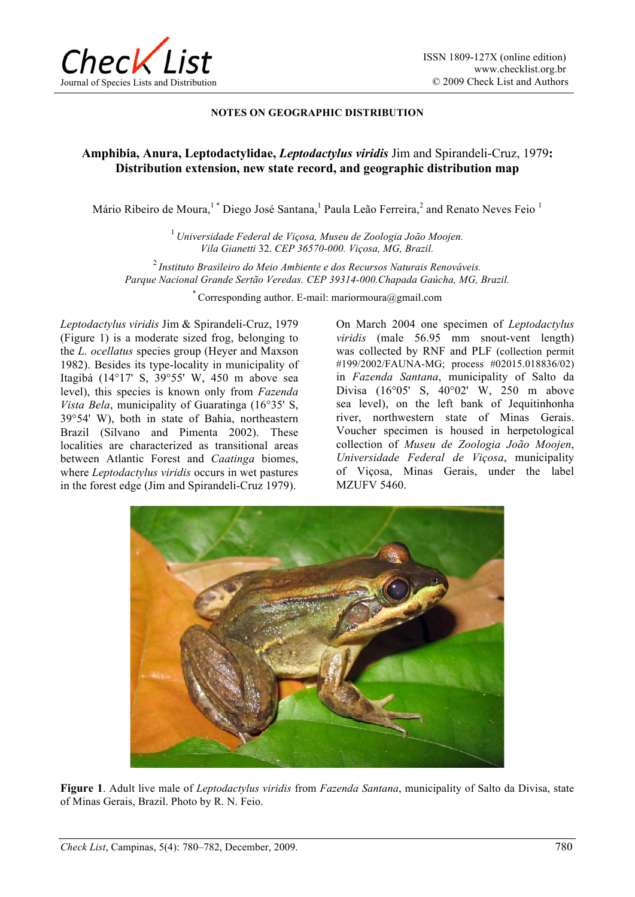

## **NOTES ON GEOGRAPHIC DISTRIBUTION**

## **Amphibia, Anura, Leptodactylidae,** *Leptodactylus viridis* Jim and Spirandeli-Cruz, 1979**: Distribution extension, new state record, and geographic distribution map**

Mário Ribeiro de Moura, $^1$ \* Diego José Santana, $^1$  Paula Leão Ferreira, $^2$  and Renato Neves Feio  $^1$ 

<sup>1</sup> *Universidade Federal de Viçosa, Museu de Zoologia João Moojen. Vila Gianetti* 32. *CEP 36570-000. Viçosa, MG, Brazil.*

<sup>2</sup>*Instituto Brasileiro do Meio Ambiente e dos Recursos Naturais Renováveis. Parque Nacional Grande Sertão Veredas. CEP 39314-000.Chapada Gaúcha, MG, Brazil.* 

\* Corresponding author. E-mail: mariormoura@gmail.com

*Leptodactylus viridis* Jim & Spirandeli-Cruz, 1979 (Figure 1) is a moderate sized frog, belonging to the *L. ocellatus* species group (Heyer and Maxson 1982). Besides its type-locality in municipality of Itagibá (14°17' S, 39°55' W, 450 m above sea level), this species is known only from *Fazenda Vista Bela*, municipality of Guaratinga (16°35' S, 39°54' W), both in state of Bahia, northeastern Brazil (Silvano and Pimenta 2002). These localities are characterized as transitional areas between Atlantic Forest and *Caatinga* biomes, where *Leptodactylus viridis* occurs in wet pastures in the forest edge (Jim and Spirandeli-Cruz 1979).

On March 2004 one specimen of *Leptodactylus viridis* (male 56.95 mm snout-vent length) was collected by RNF and PLF (collection permit #199/2002/FAUNA-MG; process #02015.018836/02) in *Fazenda Santana*, municipality of Salto da Divisa (16°05' S, 40°02' W, 250 m above sea level), on the left bank of Jequitinhonha river, northwestern state of Minas Gerais. Voucher specimen is housed in herpetological collection of *Museu de Zoologia João Moojen*, *Universidade Federal de Viçosa*, municipality of Viçosa, Minas Gerais, under the label MZUFV 5460.



**Figure 1**. Adult live male of *Leptodactylus viridis* from *Fazenda Santana*, municipality of Salto da Divisa, state of Minas Gerais, Brazil. Photo by R. N. Feio.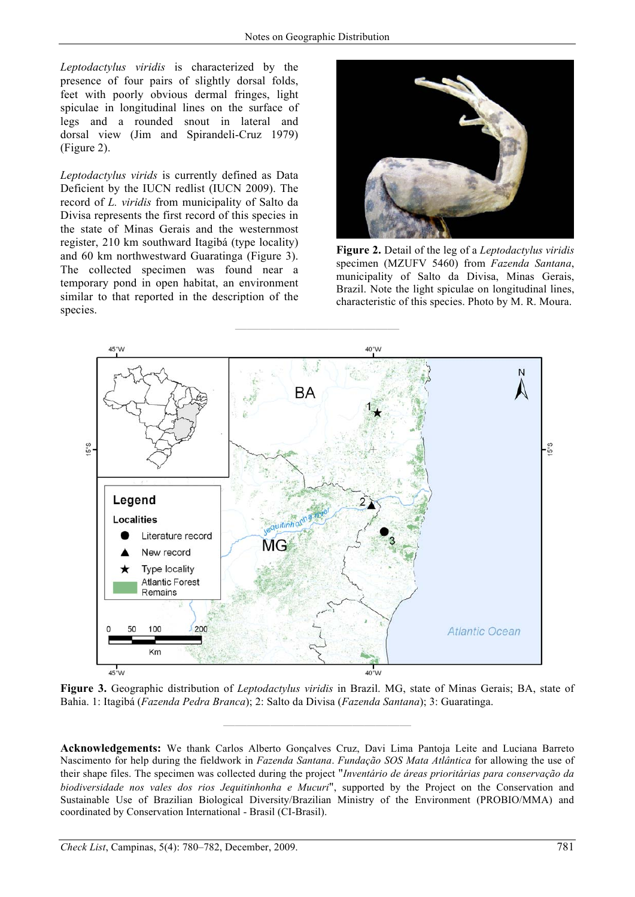*Leptodactylus viridis* is characterized by the presence of four pairs of slightly dorsal folds, feet with poorly obvious dermal fringes, light spiculae in longitudinal lines on the surface of legs and a rounded snout in lateral and dorsal view (Jim and Spirandeli-Cruz 1979) (Figure 2).

*Leptodactylus virids* is currently defined as Data Deficient by the IUCN redlist (IUCN 2009). The record of *L. viridis* from municipality of Salto da Divisa represents the first record of this species in the state of Minas Gerais and the westernmost register, 210 km southward Itagibá (type locality) and 60 km northwestward Guaratinga (Figure 3). The collected specimen was found near a temporary pond in open habitat, an environment similar to that reported in the description of the species.



**Figure 2.** Detail of the leg of a *Leptodactylus viridis* specimen (MZUFV 5460) from *Fazenda Santana*, municipality of Salto da Divisa, Minas Gerais, Brazil. Note the light spiculae on longitudinal lines, characteristic of this species. Photo by M. R. Moura.



**Figure 3.** Geographic distribution of *Leptodactylus viridis* in Brazil. MG, state of Minas Gerais; BA, state of Bahia. 1: Itagibá (*Fazenda Pedra Branca*); 2: Salto da Divisa (*Fazenda Santana*); 3: Guaratinga.

**————————————————** 

**Acknowledgements:** We thank Carlos Alberto Gonçalves Cruz, Davi Lima Pantoja Leite and Luciana Barreto Nascimento for help during the fieldwork in *Fazenda Santana*. *Fundação SOS Mata Atlântica* for allowing the use of their shape files. The specimen was collected during the project "*Inventário de áreas prioritárias para conservação da biodiversidade nos vales dos rios Jequitinhonha e Mucuri*", supported by the Project on the Conservation and Sustainable Use of Brazilian Biological Diversity/Brazilian Ministry of the Environment (PROBIO/MMA) and coordinated by Conservation International - Brasil (CI-Brasil).